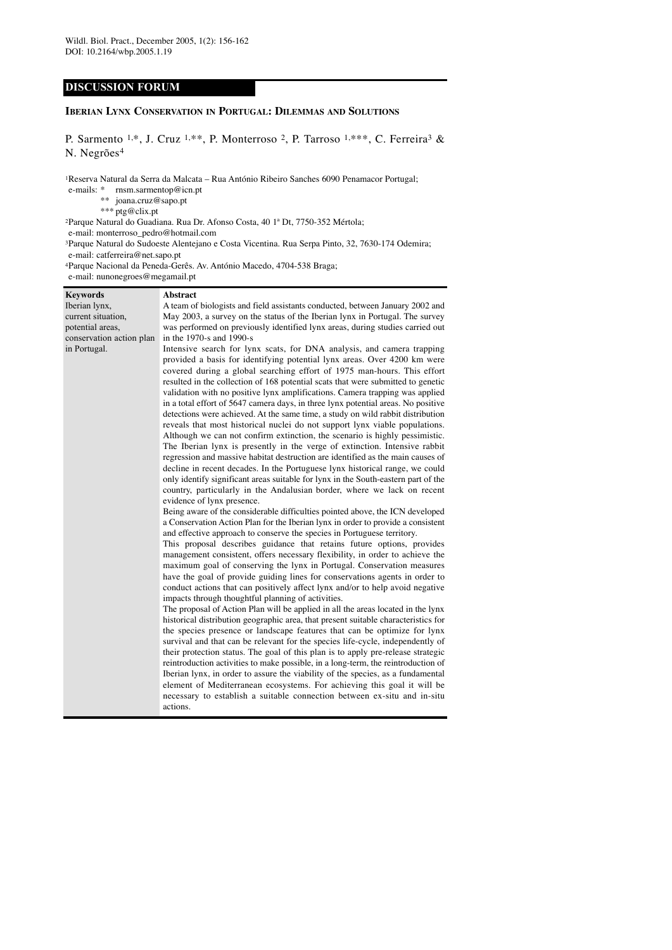# **DISCUSSION FORUM**

# **IBERIAN LYNX CONSERVATION IN PORTUGAL: DILEMMAS AND SOLUTIONS**

P. Sarmento 1,\*, J. Cruz 1,\*\*, P. Monterroso 2, P. Tarroso 1,\*\*\*, C. Ferreira<sup>3</sup> & N. Negrões4

1Reserva Natural da Serra da Malcata – Rua António Ribeiro Sanches 6090 Penamacor Portugal;

- e-mails: \* rnsm.sarmentop@icn.pt
	- \*\* joana.cruz@sapo.pt
		- \*\*\* ptg@clix.pt

2Parque Natural do Guadiana. Rua Dr. Afonso Costa, 40 1ª Dt, 7750-352 Mértola;

e-mail: monterroso\_pedro@hotmail.com

3Parque Natural do Sudoeste Alentejano e Costa Vicentina. Rua Serpa Pinto, 32, 7630-174 Odemira; e-mail: catferreira@net.sapo.pt

4Parque Nacional da Peneda-Gerês. Av. António Macedo, 4704-538 Braga;

e-mail: nunonegroes@megamail.pt

| <b>Keywords</b>          | <b>Abstract</b>                                                                                                                                                                                                                                                                                                                                                                                                                                                                                                                                                                                                                                                                                                                                                                                                                                                                                                                                                                                                                                                                                                                                                                                                                                                                                                                                                                                                                                                                                                                                                                                                                                                                                                                                                                                                                                                                                                                                                                                                                                                                                                                                                                                                                                                                                                                                                                                                                                                                                                                                                                                                                                              |
|--------------------------|--------------------------------------------------------------------------------------------------------------------------------------------------------------------------------------------------------------------------------------------------------------------------------------------------------------------------------------------------------------------------------------------------------------------------------------------------------------------------------------------------------------------------------------------------------------------------------------------------------------------------------------------------------------------------------------------------------------------------------------------------------------------------------------------------------------------------------------------------------------------------------------------------------------------------------------------------------------------------------------------------------------------------------------------------------------------------------------------------------------------------------------------------------------------------------------------------------------------------------------------------------------------------------------------------------------------------------------------------------------------------------------------------------------------------------------------------------------------------------------------------------------------------------------------------------------------------------------------------------------------------------------------------------------------------------------------------------------------------------------------------------------------------------------------------------------------------------------------------------------------------------------------------------------------------------------------------------------------------------------------------------------------------------------------------------------------------------------------------------------------------------------------------------------------------------------------------------------------------------------------------------------------------------------------------------------------------------------------------------------------------------------------------------------------------------------------------------------------------------------------------------------------------------------------------------------------------------------------------------------------------------------------------------------|
| Iberian lynx,            | A team of biologists and field assistants conducted, between January 2002 and                                                                                                                                                                                                                                                                                                                                                                                                                                                                                                                                                                                                                                                                                                                                                                                                                                                                                                                                                                                                                                                                                                                                                                                                                                                                                                                                                                                                                                                                                                                                                                                                                                                                                                                                                                                                                                                                                                                                                                                                                                                                                                                                                                                                                                                                                                                                                                                                                                                                                                                                                                                |
| current situation,       | May 2003, a survey on the status of the Iberian lynx in Portugal. The survey                                                                                                                                                                                                                                                                                                                                                                                                                                                                                                                                                                                                                                                                                                                                                                                                                                                                                                                                                                                                                                                                                                                                                                                                                                                                                                                                                                                                                                                                                                                                                                                                                                                                                                                                                                                                                                                                                                                                                                                                                                                                                                                                                                                                                                                                                                                                                                                                                                                                                                                                                                                 |
| potential areas,         | was performed on previously identified lynx areas, during studies carried out                                                                                                                                                                                                                                                                                                                                                                                                                                                                                                                                                                                                                                                                                                                                                                                                                                                                                                                                                                                                                                                                                                                                                                                                                                                                                                                                                                                                                                                                                                                                                                                                                                                                                                                                                                                                                                                                                                                                                                                                                                                                                                                                                                                                                                                                                                                                                                                                                                                                                                                                                                                |
| conservation action plan | in the 1970-s and 1990-s                                                                                                                                                                                                                                                                                                                                                                                                                                                                                                                                                                                                                                                                                                                                                                                                                                                                                                                                                                                                                                                                                                                                                                                                                                                                                                                                                                                                                                                                                                                                                                                                                                                                                                                                                                                                                                                                                                                                                                                                                                                                                                                                                                                                                                                                                                                                                                                                                                                                                                                                                                                                                                     |
| in Portugal.             | Intensive search for lynx scats, for DNA analysis, and camera trapping<br>provided a basis for identifying potential lynx areas. Over 4200 km were<br>covered during a global searching effort of 1975 man-hours. This effort<br>resulted in the collection of 168 potential scats that were submitted to genetic<br>validation with no positive lynx amplifications. Camera trapping was applied<br>in a total effort of 5647 camera days, in three lynx potential areas. No positive<br>detections were achieved. At the same time, a study on wild rabbit distribution<br>reveals that most historical nuclei do not support lynx viable populations.<br>Although we can not confirm extinction, the scenario is highly pessimistic.<br>The Iberian lynx is presently in the verge of extinction. Intensive rabbit<br>regression and massive habitat destruction are identified as the main causes of<br>decline in recent decades. In the Portuguese lynx historical range, we could<br>only identify significant areas suitable for lynx in the South-eastern part of the<br>country, particularly in the Andalusian border, where we lack on recent<br>evidence of lynx presence.<br>Being aware of the considerable difficulties pointed above, the ICN developed<br>a Conservation Action Plan for the Iberian lynx in order to provide a consistent<br>and effective approach to conserve the species in Portuguese territory.<br>This proposal describes guidance that retains future options, provides<br>management consistent, offers necessary flexibility, in order to achieve the<br>maximum goal of conserving the lynx in Portugal. Conservation measures<br>have the goal of provide guiding lines for conservations agents in order to<br>conduct actions that can positively affect lynx and/or to help avoid negative<br>impacts through thoughtful planning of activities.<br>The proposal of Action Plan will be applied in all the areas located in the lynx<br>historical distribution geographic area, that present suitable characteristics for<br>the species presence or landscape features that can be optimize for lynx<br>survival and that can be relevant for the species life-cycle, independently of<br>their protection status. The goal of this plan is to apply pre-release strategic<br>reintroduction activities to make possible, in a long-term, the reintroduction of<br>Iberian lynx, in order to assure the viability of the species, as a fundamental<br>element of Mediterranean ecosystems. For achieving this goal it will be<br>necessary to establish a suitable connection between ex-situ and in-situ |
|                          | actions.                                                                                                                                                                                                                                                                                                                                                                                                                                                                                                                                                                                                                                                                                                                                                                                                                                                                                                                                                                                                                                                                                                                                                                                                                                                                                                                                                                                                                                                                                                                                                                                                                                                                                                                                                                                                                                                                                                                                                                                                                                                                                                                                                                                                                                                                                                                                                                                                                                                                                                                                                                                                                                                     |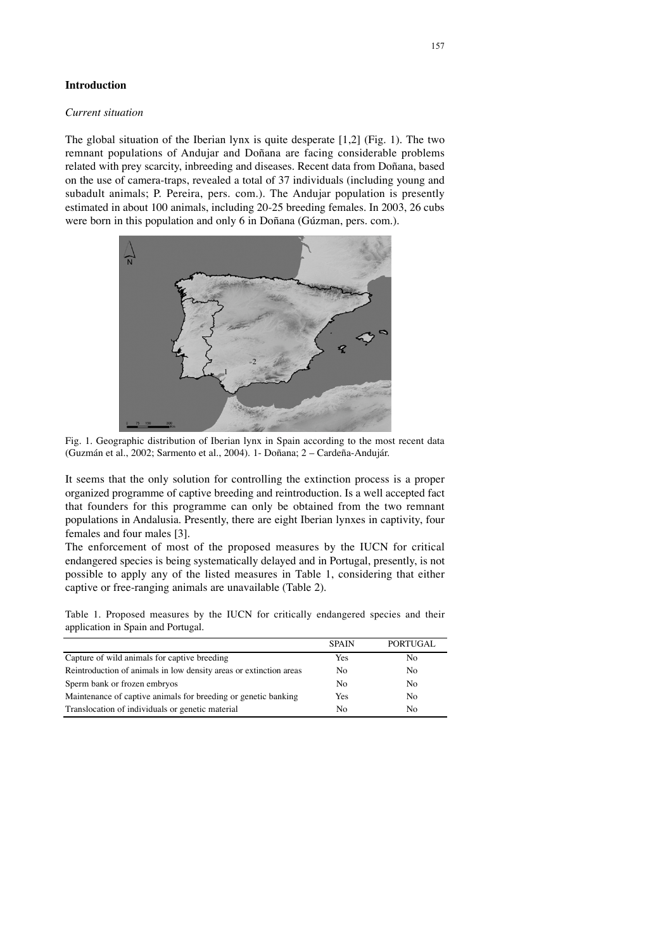# **Introduction**

### *Current situation*

The global situation of the Iberian lynx is quite desperate [1,2] (Fig. 1). The two remnant populations of Andujar and Doñana are facing considerable problems related with prey scarcity, inbreeding and diseases. Recent data from Doñana, based on the use of camera-traps, revealed a total of 37 individuals (including young and subadult animals; P. Pereira, pers. com.). The Andujar population is presently estimated in about 100 animals, including 20-25 breeding females. In 2003, 26 cubs were born in this population and only 6 in Doñana (Gúzman, pers. com.).



Fig. 1. Geographic distribution of Iberian lynx in Spain according to the most recent data (Guzmán et al., 2002; Sarmento et al., 2004). 1- Doñana; 2 – Cardeña-Andujár.

It seems that the only solution for controlling the extinction process is a proper organized programme of captive breeding and reintroduction. Is a well accepted fact that founders for this programme can only be obtained from the two remnant populations in Andalusia. Presently, there are eight Iberian lynxes in captivity, four females and four males [3].

The enforcement of most of the proposed measures by the IUCN for critical endangered species is being systematically delayed and in Portugal, presently, is not possible to apply any of the listed measures in Table 1, considering that either captive or free-ranging animals are unavailable (Table 2).

Table 1. Proposed measures by the IUCN for critically endangered species and their application in Spain and Portugal.

|                                                                    | <b>SPAIN</b> | PORTUGAL       |
|--------------------------------------------------------------------|--------------|----------------|
| Capture of wild animals for captive breeding                       | Yes          | No             |
| Reintroduction of animals in low density areas or extinction areas | No.          | N <sub>0</sub> |
| Sperm bank or frozen embryos                                       | No.          | No.            |
| Maintenance of captive animals for breeding or genetic banking     | Yes          | N <sub>0</sub> |
| Translocation of individuals or genetic material                   | No           | No             |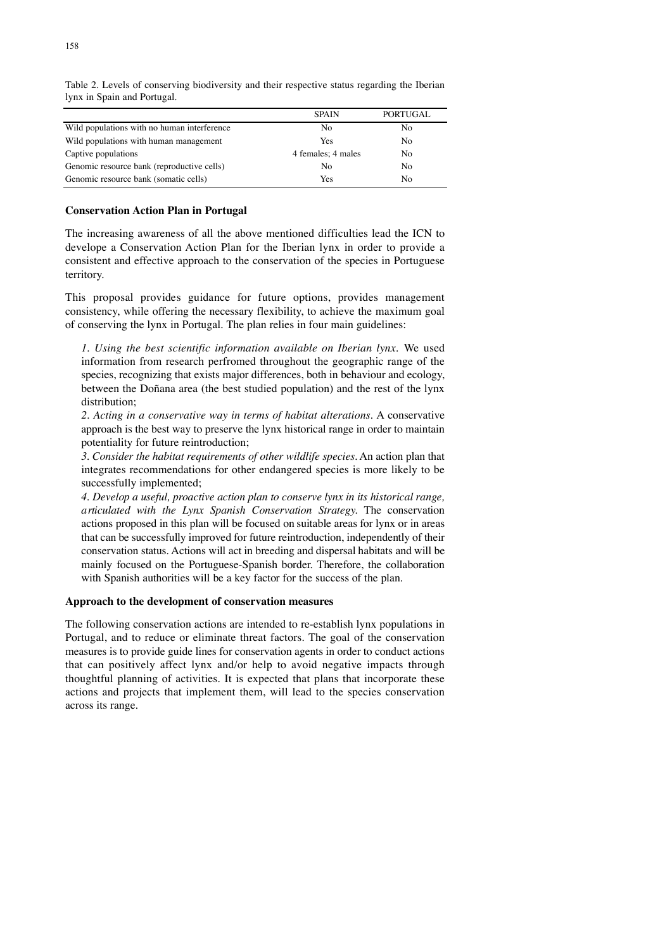|                                             | <b>SPAIN</b>       | <b>PORTUGAL</b> |
|---------------------------------------------|--------------------|-----------------|
| Wild populations with no human interference | No                 | No              |
| Wild populations with human management      | Yes                | No              |
| Captive populations                         | 4 females; 4 males | No              |
| Genomic resource bank (reproductive cells)  | N <sub>0</sub>     | No.             |
| Genomic resource bank (somatic cells)       | Yes                | No.             |

Table 2. Levels of conserving biodiversity and their respective status regarding the Iberian lynx in Spain and Portugal.

# **Conservation Action Plan in Portugal**

The increasing awareness of all the above mentioned difficulties lead the ICN to develope a Conservation Action Plan for the Iberian lynx in order to provide a consistent and effective approach to the conservation of the species in Portuguese territory.

This proposal provides guidance for future options, provides management consistency, while offering the necessary flexibility, to achieve the maximum goal of conserving the lynx in Portugal. The plan relies in four main guidelines:

*1. Using the best scientific information available on Iberian lynx.* We used information from research perfromed throughout the geographic range of the species, recognizing that exists major differences, both in behaviour and ecology, between the Doñana area (the best studied population) and the rest of the lynx distribution;

*2. Acting in a conservative way in terms of habitat alterations.* A conservative approach is the best way to preserve the lynx historical range in order to maintain potentiality for future reintroduction;

*3. Consider the habitat requirements of other wildlife species.* An action plan that integrates recommendations for other endangered species is more likely to be successfully implemented;

*4. Develop a useful, proactive action plan to conserve lynx in its historical range, a rticulated with the Lynx Spanish Conservation Strategy.* The conservation actions proposed in this plan will be focused on suitable areas for lynx or in areas that can be successfully improved for future reintroduction, independently of their conservation status. Actions will act in breeding and dispersal habitats and will be mainly focused on the Portuguese-Spanish border. Therefore, the collaboration with Spanish authorities will be a key factor for the success of the plan.

### **Approach to the development of conservation measures**

The following conservation actions are intended to re-establish lynx populations in Portugal, and to reduce or eliminate threat factors. The goal of the conservation measures is to provide guide lines for conservation agents in order to conduct actions that can positively affect lynx and/or help to avoid negative impacts through thoughtful planning of activities. It is expected that plans that incorporate these actions and projects that implement them, will lead to the species conservation across its range.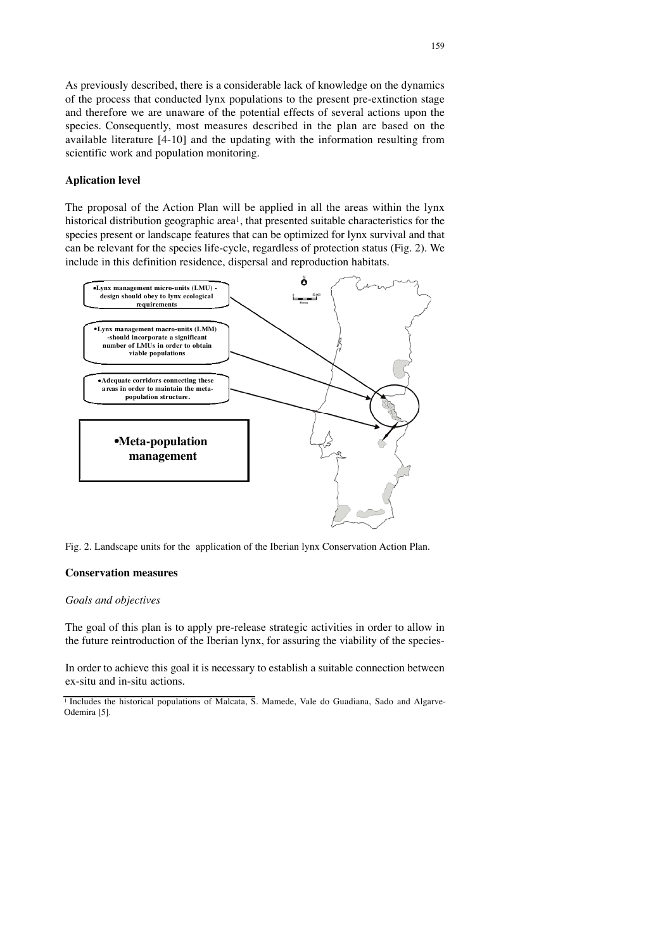As previously described, there is a considerable lack of knowledge on the dynamics of the process that conducted lynx populations to the present pre-extinction stage and therefore we are unaware of the potential effects of several actions upon the species. Consequently, most measures described in the plan are based on the available literature [4-10] and the updating with the information resulting from scientific work and population monitoring.

## **Aplication level**

The proposal of the Action Plan will be applied in all the areas within the lynx historical distribution geographic area<sup>1</sup>, that presented suitable characteristics for the species present or landscape features that can be optimized for lynx survival and that can be relevant for the species life-cycle, regardless of protection status (Fig. 2). We include in this definition residence, dispersal and reproduction habitats.



Fig. 2. Landscape units for the application of the Iberian lynx Conservation Action Plan.

## **Conservation measures**

### *Goals and objectives*

The goal of this plan is to apply pre-release strategic activities in order to allow in the future reintroduction of the Iberian lynx, for assuring the viability of the species-

In order to achieve this goal it is necessary to establish a suitable connection between ex-situ and in-situ actions.

<sup>&</sup>lt;sup>1</sup> Includes the historical populations of Malcata, S. Mamede, Vale do Guadiana, Sado and Algarve-Odemira [5].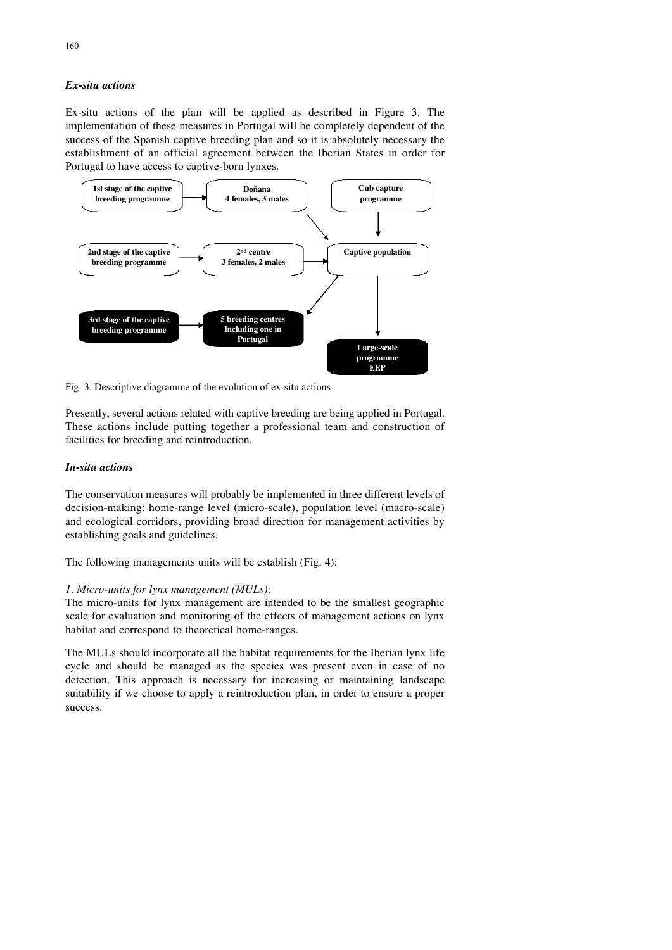# *Ex-situ actions*

Ex-situ actions of the plan will be applied as described in Figure  $3$ . The implementation of these measures in Portugal will be completely dependent of the success of the Spanish captive breeding plan and so it is absolutely necessary the establishment of an official agreement between the Iberian States in order for Portugal to have access to captive-born lynxes.



Fig. 3. Descriptive diagramme of the evolution of ex-situ actions

Presently, several actions related with captive breeding are being applied in Portugal. These actions include putting together a professional team and construction of facilities for breeding and reintroduction.

### *In-situ actions*

The conservation measures will probably be implemented in three different levels of decision-making: home-range level (micro-scale), population level (macro-scale) and ecological corridors, providing broad direction for management activities by establishing goals and guidelines.

The following managements units will be establish (Fig. 4):

### *1. Micro-units for lynx management (MULs)*:

The micro-units for lynx management are intended to be the smallest geographic scale for evaluation and monitoring of the effects of management actions on lynx habitat and correspond to theoretical home-ranges.

The MULs should incorporate all the habitat requirements for the Iberian lynx life cycle and should be managed as the species was present even in case of no detection. This approach is necessary for increasing or maintaining landscape suitability if we choose to apply a reintroduction plan, in order to ensure a proper success.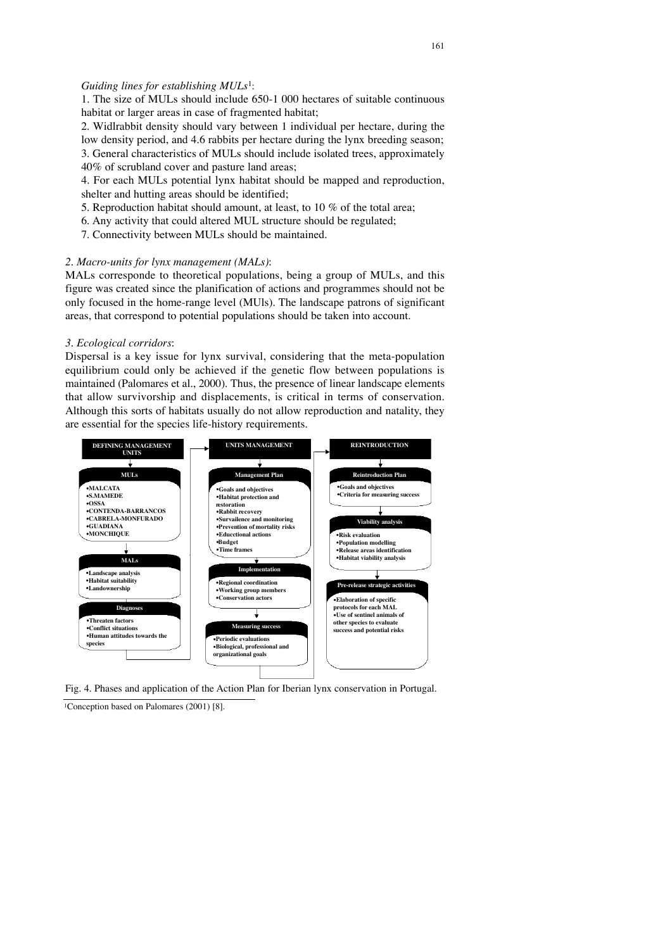### *Guiding lines for establishing MULs*1:

1. The size of MULs should include 650-1 000 hectares of suitable continuous habitat or larger areas in case of fragmented habitat;

2. Widlrabbit density should vary between 1 individual per hectare, during the low density period, and 4.6 rabbits per hectare during the lynx breeding season; 3. General characteristics of MULs should include isolated trees, approximately 40% of scrubland cover and pasture land areas;

4. For each MULs potential lynx habitat should be mapped and reproduction, shelter and hutting areas should be identified;

- 5. Reproduction habitat should amount, at least, to 10 % of the total area;
- 6. Any activity that could altered MUL structure should be regulated;
- 7. Connectivity between MULs should be maintained.

#### *2. Macro-units for lynx management (MALs)*:

MALs corresponde to theoretical populations, being a group of MULs, and this figure was created since the planification of actions and programmes should not be only focused in the home-range level (MUls). The landscape patrons of significant areas, that correspond to potential populations should be taken into account.

#### *3. Ecological corridors*:

Dispersal is a key issue for lynx survival, considering that the meta-population equilibrium could only be achieved if the genetic flow between populations is maintained (Palomares et al., 2000). Thus, the presence of linear landscape elements that allow survivorship and displacements, is critical in terms of conservation. Although this sorts of habitats usually do not allow reproduction and natality, they are essential for the species life-history requirements.



Fig. 4. Phases and application of the Action Plan for Iberian lynx conservation in Portugal.

1Conception based on Palomares (2001) [8].